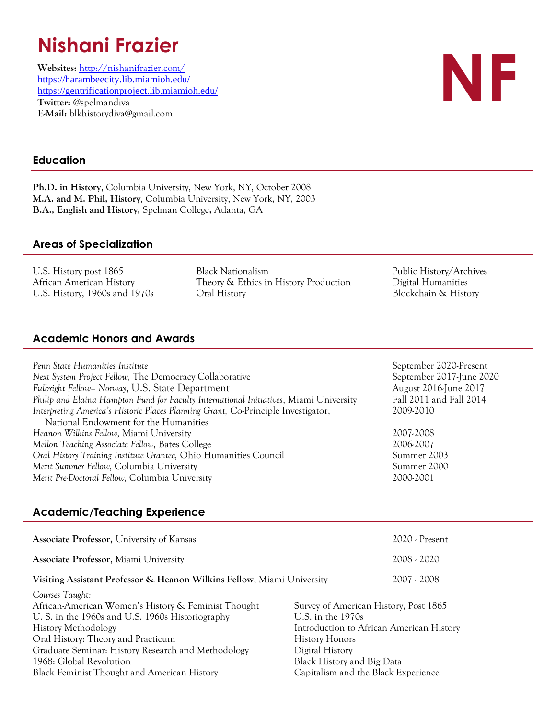# **Nishani Frazier**

**Websites:** <http://nishanifrazier.com/> <https://harambeecity.lib.miamioh.edu/> <https://gentrificationproject.lib.miamioh.edu/> **Twitter:** @spelmandiva **E-Mail:** blkhistorydiva@gmail.com



# **Education**

**Ph.D. in History**, Columbia University, New York, NY, October 2008 **M.A. and M. Phil, History***,* Columbia University, New York, NY, 2003 **B.A., English and History,** Spelman College**,** Atlanta, GA

## **Areas of Specialization**

U.S. History post 1865 Black Nationalism Public History/Archives African American History Theory & Ethics in History Production Digital Humanities U.S. History, 1960s and 1970s Oral History Blockchain & History

# **Academic Honors and Awards**

| Penn State Humanities Institute                                                        | September 2020-Present   |
|----------------------------------------------------------------------------------------|--------------------------|
| Next System Project Fellow, The Democracy Collaborative                                | September 2017-June 2020 |
| Fulbright Fellow– Norway, U.S. State Department                                        | August 2016-June 2017    |
| Philip and Elaina Hampton Fund for Faculty International Initiatives, Miami University | Fall 2011 and Fall 2014  |
| Interpreting America's Historic Places Planning Grant, Co-Principle Investigator,      | 2009-2010                |
| National Endowment for the Humanities                                                  |                          |
| Heanon Wilkins Fellow, Miami University                                                | 2007-2008                |
| Mellon Teaching Associate Fellow, Bates College                                        | 2006-2007                |
| Oral History Training Institute Grantee, Ohio Humanities Council                       | Summer 2003              |
| Merit Summer Fellow, Columbia University                                               | Summer 2000              |
| Merit Pre-Doctoral Fellow, Columbia University                                         | 2000-2001                |

# **Academic/Teaching Experience**

| <b>Associate Professor, University of Kansas</b>                                                                                                                                                                                                     |                                                                   | $2020$ - Present                                                                  |
|------------------------------------------------------------------------------------------------------------------------------------------------------------------------------------------------------------------------------------------------------|-------------------------------------------------------------------|-----------------------------------------------------------------------------------|
| <b>Associate Professor, Miami University</b>                                                                                                                                                                                                         |                                                                   | 2008 - 2020                                                                       |
| Visiting Assistant Professor & Heanon Wilkins Fellow, Miami University                                                                                                                                                                               |                                                                   | 2007 - 2008                                                                       |
| Courses Taught:<br>African-American Women's History & Feminist Thought<br>U. S. in the 1960s and U.S. 1960s Historiography<br><b>History Methodology</b><br>Oral History: Theory and Practicum<br>Graduate Seminar: History Research and Methodology | U.S. in the $1970s$<br><b>History Honors</b><br>Digital History   | Survey of American History, Post 1865<br>Introduction to African American History |
| 1968: Global Revolution<br>Black Feminist Thought and American History                                                                                                                                                                               | Black History and Big Data<br>Capitalism and the Black Experience |                                                                                   |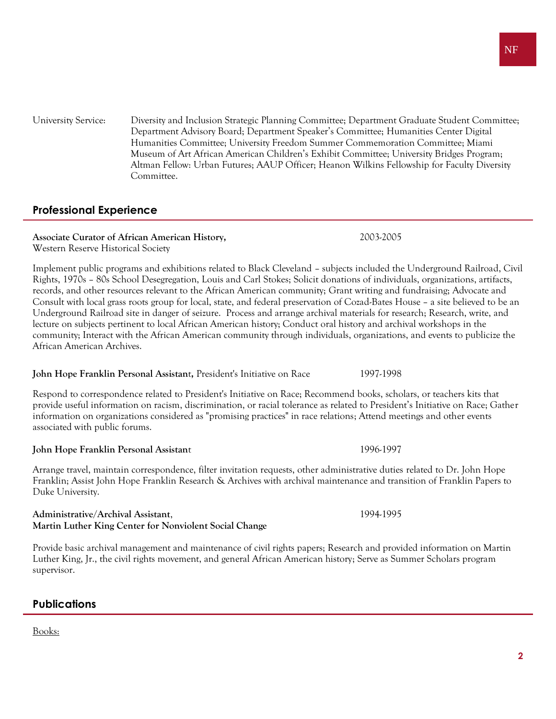NF

University Service: Diversity and Inclusion Strategic Planning Committee; Department Graduate Student Committee; Department Advisory Board; Department Speaker's Committee; Humanities Center Digital Humanities Committee; University Freedom Summer Commemoration Committee; Miami Museum of Art African American Children's Exhibit Committee; University Bridges Program; Altman Fellow: Urban Futures; AAUP Officer; Heanon Wilkins Fellowship for Faculty Diversity Committee.

# **Professional Experience**

#### **Associate Curator of African American History,** 2003-2005 Western Reserve Historical Society

Implement public programs and exhibitions related to Black Cleveland – subjects included the Underground Railroad, Civil Rights, 1970s – 80s School Desegregation, Louis and Carl Stokes; Solicit donations of individuals, organizations, artifacts, records, and other resources relevant to the African American community; Grant writing and fundraising; Advocate and Consult with local grass roots group for local, state, and federal preservation of Cozad-Bates House – a site believed to be an Underground Railroad site in danger of seizure. Process and arrange archival materials for research; Research, write, and lecture on subjects pertinent to local African American history; Conduct oral history and archival workshops in the community; Interact with the African American community through individuals, organizations, and events to publicize the African American Archives.

## **John Hope Franklin Personal Assistan**t**,** President's Initiative on Race 1997-1998

Respond to correspondence related to President's Initiative on Race; Recommend books, scholars, or teachers kits that provide useful information on racism, discrimination, or racial tolerance as related to President's Initiative on Race; Gather information on organizations considered as "promising practices" in race relations; Attend meetings and other events associated with public forums.

# **John Hope Franklin Personal Assistan**t 1996-1997

Arrange travel, maintain correspondence, filter invitation requests, other administrative duties related to Dr. John Hope Franklin; Assist John Hope Franklin Research & Archives with archival maintenance and transition of Franklin Papers to Duke University.

## **Administrative/Archival Assistant**, 1994-1995 **Martin Luther King Center for Nonviolent Social Change**

Provide basic archival management and maintenance of civil rights papers; Research and provided information on Martin Luther King, Jr., the civil rights movement, and general African American history; Serve as Summer Scholars program supervisor.

# **Publications**

Books: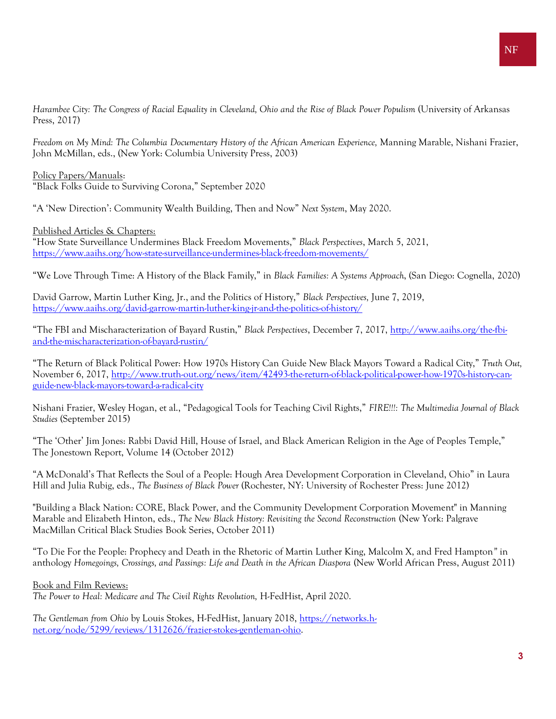*Harambee City: The Congress of Racial Equality in Cleveland, Ohio and the Rise of Black Power Populism* (University of Arkansas Press, 2017)

*Freedom on My Mind: The Columbia Documentary History of the African American Experience,* Manning Marable, Nishani Frazier, John McMillan, eds., (New York: Columbia University Press, 2003)

Policy Papers/Manuals: "Black Folks Guide to Surviving Corona," September 2020

"A 'New Direction': Community Wealth Building, Then and Now" *Next System*, May 2020.

Published Articles & Chapters:

"How State Surveillance Undermines Black Freedom Movements," *Black Perspectives*, March 5, 2021, <https://www.aaihs.org/how-state-surveillance-undermines-black-freedom-movements/>

"We Love Through Time: A History of the Black Family," in *Black Families: A Systems Approach*, (San Diego: Cognella, 2020)

David Garrow, Martin Luther King, Jr., and the Politics of History," *Black Perspectives,* June 7, 2019, <https://www.aaihs.org/david-garrow-martin-luther-king-jr-and-the-politics-of-history/>

"The FBI and Mischaracterization of Bayard Rustin," *Black Perspectives*, December 7, 2017, [http://www.aaihs.org/the-fbi](http://www.aaihs.org/the-fbi-and-the-mischaracterization-of-bayard-rustin/)[and-the-mischaracterization-of-bayard-rustin/](http://www.aaihs.org/the-fbi-and-the-mischaracterization-of-bayard-rustin/)

"The Return of Black Political Power: How 1970s History Can Guide New Black Mayors Toward a Radical City," *Truth Out,*  November 6, 2017, [http://www.truth-out.org/news/item/42493-the-return-of-black-political-power-how-1970s-history-can](http://www.truth-out.org/news/item/42493-the-return-of-black-political-power-how-1970s-history-can-guide-new-black-mayors-toward-a-radical-city)[guide-new-black-mayors-toward-a-radical-city](http://www.truth-out.org/news/item/42493-the-return-of-black-political-power-how-1970s-history-can-guide-new-black-mayors-toward-a-radical-city)

Nishani Frazier, Wesley Hogan, et al., "Pedagogical Tools for Teaching Civil Rights," *FIRE!!!: The Multimedia Journal of Black Studies* (September 2015)

"The 'Other' Jim Jones: Rabbi David Hill, House of Israel, and Black American Religion in the Age of Peoples Temple," The Jonestown Report, Volume 14 (October 2012)

"A McDonald's That Reflects the Soul of a People: Hough Area Development Corporation in Cleveland, Ohio" in Laura Hill and Julia Rubig, eds., *The Business of Black Power* (Rochester, NY: University of Rochester Press: June 2012)

"Building a Black Nation: CORE, Black Power, and the Community Development Corporation Movement" in Manning Marable and Elizabeth Hinton, eds., *The New Black History: Revisiting the Second Reconstruction* (New York: Palgrave MacMillan Critical Black Studies Book Series, October 2011)

"To Die For the People: Prophecy and Death in the Rhetoric of Martin Luther King, Malcolm X, and Fred Hampton*"* in anthology *Homegoings, Crossings, and Passings: Life and Death in the African Diaspora* (New World African Press, August 2011)

#### Book and Film Reviews:

*The Power to Heal: Medicare and The Civil Rights Revolution,* H-FedHist, April 2020.

*The Gentleman from Ohio* by Louis Stokes, H-FedHist, January 2018, [https://networks.h](https://networks.h-net.org/node/5299/reviews/1312626/frazier-stokes-gentleman-ohio)[net.org/node/5299/reviews/1312626/frazier-stokes-gentleman-ohio.](https://networks.h-net.org/node/5299/reviews/1312626/frazier-stokes-gentleman-ohio)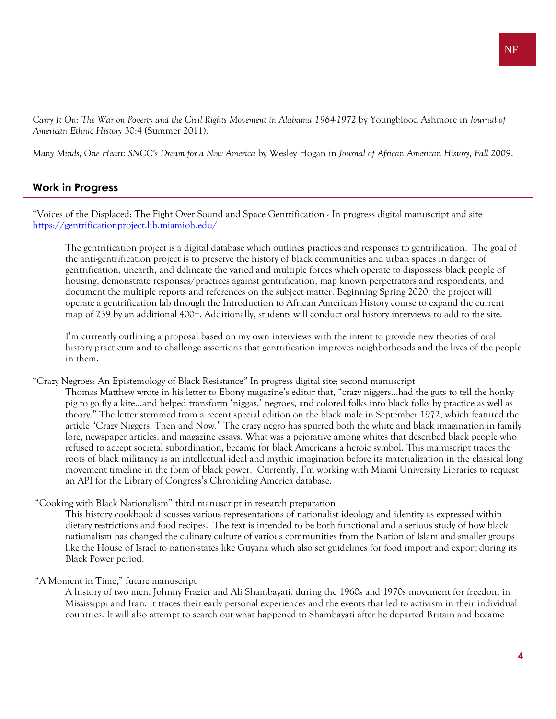*Carry It On: The War on Poverty and the Civil Rights Movement in Alabama 1964-1972* by Youngblood Ashmore in *Journal of American Ethnic History* 30:4 (Summer 2011).

*Many Minds, One Heart: SNCC's Dream for a New America* by Wesley Hogan in *Journal of African American History, Fall 2009*.

# **Work in Progress**

"Voices of the Displaced: The Fight Over Sound and Space Gentrification - In progress digital manuscript and site <https://gentrificationproject.lib.miamioh.edu/>

The gentrification project is a digital database which outlines practices and responses to gentrification. The goal of the anti-gentrification project is to preserve the history of black communities and urban spaces in danger of gentrification, unearth, and delineate the varied and multiple forces which operate to dispossess black people of housing, demonstrate responses/practices against gentrification, map known perpetrators and respondents, and document the multiple reports and references on the subject matter. Beginning Spring 2020, the project will operate a gentrification lab through the Introduction to African American History course to expand the current map of 239 by an additional 400+. Additionally, students will conduct oral history interviews to add to the site.

I'm currently outlining a proposal based on my own interviews with the intent to provide new theories of oral history practicum and to challenge assertions that gentrification improves neighborhoods and the lives of the people in them.

"Crazy Negroes: An Epistemology of Black Resistance*"* In progress digital site; second manuscript

Thomas Matthew wrote in his letter to Ebony magazine's editor that, "crazy niggers…had the guts to tell the honky pig to go fly a kite…and helped transform 'niggas,' negroes, and colored folks into black folks by practice as well as theory." The letter stemmed from a recent special edition on the black male in September 1972, which featured the article "Crazy Niggers! Then and Now." The crazy negro has spurred both the white and black imagination in family lore, newspaper articles, and magazine essays. What was a pejorative among whites that described black people who refused to accept societal subordination, became for black Americans a heroic symbol. This manuscript traces the roots of black militancy as an intellectual ideal and mythic imagination before its materialization in the classical long movement timeline in the form of black power. Currently, I'm working with Miami University Libraries to request an API for the Library of Congress's Chronicling America database.

#### "Cooking with Black Nationalism" third manuscript in research preparation

This history cookbook discusses various representations of nationalist ideology and identity as expressed within dietary restrictions and food recipes. The text is intended to be both functional and a serious study of how black nationalism has changed the culinary culture of various communities from the Nation of Islam and smaller groups like the House of Israel to nation-states like Guyana which also set guidelines for food import and export during its Black Power period.

#### "A Moment in Time," future manuscript

A history of two men, Johnny Frazier and Ali Shambayati, during the 1960s and 1970s movement for freedom in Mississippi and Iran. It traces their early personal experiences and the events that led to activism in their individual countries. It will also attempt to search out what happened to Shambayati after he departed Britain and became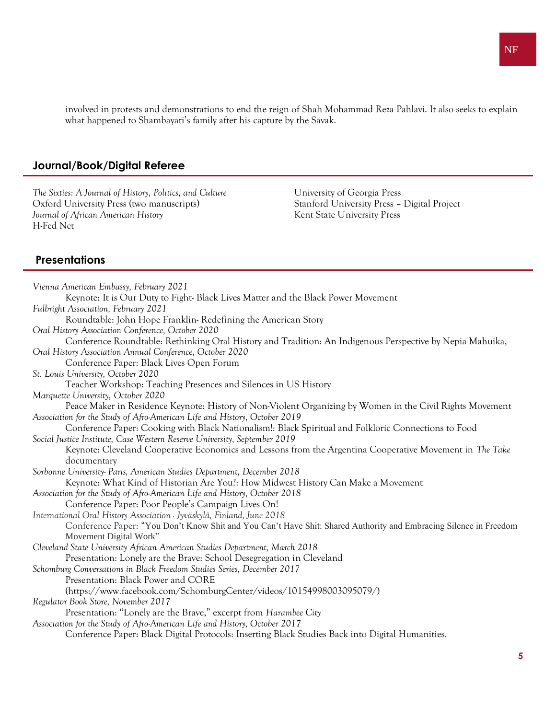involved in protests and demonstrations to end the reign of Shah Mohammad Reza Pahlavi. It also seeks to explain what happened to Shambayati's family after his capture by the Savak.

#### **Journal/Book/Digital Referee**

*The Sixties: A Journal of History, Politics, and Culture* University of Georgia Press Oxford University Press (two manuscripts) Stanford University Press – Digital Project *Journal of African American History* American American American American American American American American American American American American American American American American American American American American Amer H-Fed Net

### **Presentations**

*Vienna American Embassy, February 2021* Keynote: It is Our Duty to Fight- Black Lives Matter and the Black Power Movement *Fulbright Association, February 2021* Roundtable: John Hope Franklin- Redefining the American Story *Oral History Association Conference, October 2020* Conference Roundtable: Rethinking Oral History and Tradition: An Indigenous Perspective by Nepia Mahuika, *Oral History Association Annual Conference, October 2020* Conference Paper: Black Lives Open Forum *St. Louis University, October 2020* Teacher Workshop: Teaching Presences and Silences in US History *Marquette University, October 2020* Peace Maker in Residence Keynote: History of Non-Violent Organizing by Women in the Civil Rights Movement *Association for the Study of Afro-American Life and History, October 2019* Conference Paper: Cooking with Black Nationalism!: Black Spiritual and Folkloric Connections to Food *Social Justice Institute, Case Western Reserve University, September 2019* Keynote: Cleveland Cooperative Economics and Lessons from the Argentina Cooperative Movement in *The Take* documentary *Sorbonne University- Paris, American Studies Department, December 2018* Keynote: What Kind of Historian Are You?: How Midwest History Can Make a Movement *Association for the Study of Afro-American Life and History, October 2018* Conference Paper: Poor People's Campaign Lives On! *International Oral History Association - Jyväskylä, Finland, June 2018* Conference Paper: "You Don't Know Shit and You Can't Have Shit: Shared Authority and Embracing Silence in Freedom Movement Digital Work" *Cleveland State University African American Studies Department, March 2018* Presentation: Lonely are the Brave: School Desegregation in Cleveland *Schomburg Conversations in Black Freedom Studies Series, December 2017* Presentation: Black Power and CORE (https://www.facebook.com/SchomburgCenter/videos/10154998003095079/) *Regulator Book Store, November 2017* Presentation: "Lonely are the Brave," excerpt from *Harambee City Association for the Study of Afro-American Life and History, October 2017* Conference Paper: Black Digital Protocols: Inserting Black Studies Back into Digital Humanities.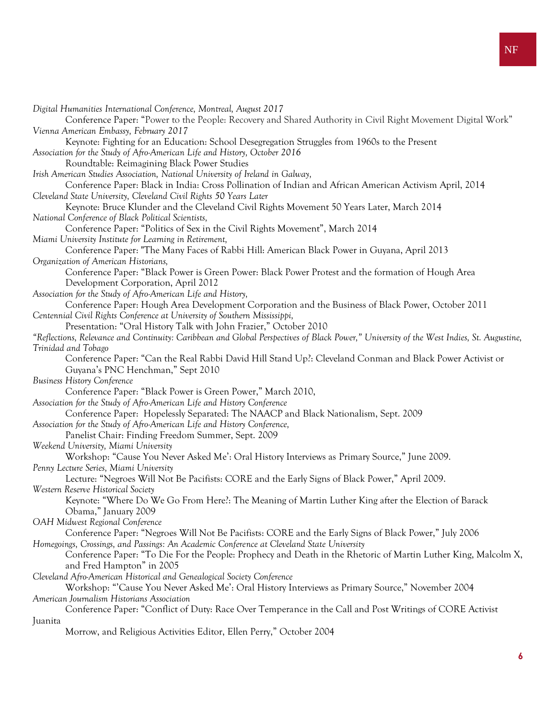*Digital Humanities International Conference, Montreal, August 2017* Conference Paper: "Power to the People: Recovery and Shared Authority in Civil Right Movement Digital Work" *Vienna American Embassy, February 2017* Keynote: Fighting for an Education: School Desegregation Struggles from 1960s to the Present *Association for the Study of Afro-American Life and History, October 2016* Roundtable: Reimagining Black Power Studies *Irish American Studies Association, National University of Ireland in Galway,* Conference Paper: Black in India: Cross Pollination of Indian and African American Activism April, 2014 *Cleveland State University, Cleveland Civil Rights 50 Years Later* Keynote: Bruce Klunder and the Cleveland Civil Rights Movement 50 Years Later, March 2014 *National Conference of Black Political Scientists,*  Conference Paper: "Politics of Sex in the Civil Rights Movement", March 2014 *Miami University Institute for Learning in Retirement,* Conference Paper: "The Many Faces of Rabbi Hill: American Black Power in Guyana, April 2013 *Organization of American Historians,*  Conference Paper: "Black Power is Green Power: Black Power Protest and the formation of Hough Area Development Corporation, April 2012 *Association for the Study of Afro-American Life and History,*  Conference Paper: Hough Area Development Corporation and the Business of Black Power, October 2011 *Centennial Civil Rights Conference at University of Southern Mississippi,*  Presentation: "Oral History Talk with John Frazier," October 2010 *"Reflections, Relevance and Continuity: Caribbean and Global Perspectives of Black Power," University of the West Indies, St. Augustine, Trinidad and Tobago*  Conference Paper: "Can the Real Rabbi David Hill Stand Up?: Cleveland Conman and Black Power Activist or Guyana's PNC Henchman," Sept 2010 *Business History Conference*  Conference Paper: "Black Power is Green Power," March 2010, *Association for the Study of Afro-American Life and History Conference* Conference Paper: Hopelessly Separated: The NAACP and Black Nationalism, Sept. 2009 *Association for the Study of Afro-American Life and History Conference,*  Panelist Chair: Finding Freedom Summer, Sept. 2009 *Weekend University, Miami University* Workshop: "Cause You Never Asked Me': Oral History Interviews as Primary Source," June 2009. *Penny Lecture Series, Miami University*  Lecture: "Negroes Will Not Be Pacifists: CORE and the Early Signs of Black Power," April 2009. *Western Reserve Historical Society*  Keynote: "Where Do We Go From Here?: The Meaning of Martin Luther King after the Election of Barack Obama," January 2009 *OAH Midwest Regional Conference*  Conference Paper: "Negroes Will Not Be Pacifists: CORE and the Early Signs of Black Power," July 2006 *Homegoings, Crossings, and Passings: An Academic Conference at Cleveland State University*  Conference Paper: "To Die For the People: Prophecy and Death in the Rhetoric of Martin Luther King, Malcolm X, and Fred Hampton" in 2005 *Cleveland Afro-American Historical and Genealogical Society Conference* Workshop: "'Cause You Never Asked Me': Oral History Interviews as Primary Source," November 2004

*American Journalism Historians Association*

#### Conference Paper: "Conflict of Duty: Race Over Temperance in the Call and Post Writings of CORE Activist Juanita

Morrow, and Religious Activities Editor, Ellen Perry," October 2004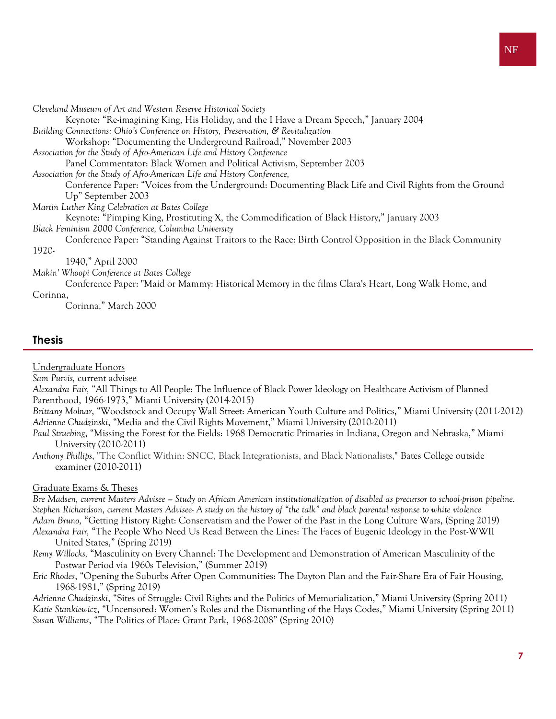| Cleveland Museum of Art and Western Reserve Historical Society                                            |
|-----------------------------------------------------------------------------------------------------------|
| Keynote: "Re-imagining King, His Holiday, and the I Have a Dream Speech," January 2004                    |
| Building Connections: Ohio's Conference on History, Preservation, & Revitalization                        |
| Workshop: "Documenting the Underground Railroad," November 2003                                           |
| Association for the Study of Afro-American Life and History Conference                                    |
| Panel Commentator: Black Women and Political Activism, September 2003                                     |
| Association for the Study of Afro-American Life and History Conference,                                   |
| Conference Paper: "Voices from the Underground: Documenting Black Life and Civil Rights from the Ground   |
| Up" September 2003                                                                                        |
| Martin Luther King Celebration at Bates College                                                           |
| Keynote: "Pimping King, Prostituting X, the Commodification of Black History," January 2003               |
| Black Feminism 2000 Conference, Columbia University                                                       |
| Conference Paper: "Standing Against Traitors to the Race: Birth Control Opposition in the Black Community |
| 1920-                                                                                                     |
| 1940," April 2000                                                                                         |
| Makin' Whoopi Conference at Bates College                                                                 |
| Conference Paper: "Maid or Mammy: Historical Memory in the films Clara's Heart, Long Walk Home, and       |
| Corinna,                                                                                                  |
| Corinna," March 2000                                                                                      |

## **Thesis**

Undergraduate Honors

*Sam Purvis,* current advisee

*Alexandra Fair,* "All Things to All People: The Influence of Black Power Ideology on Healthcare Activism of Planned Parenthood, 1966-1973," Miami University (2014-2015)

*Brittany Molnar*, "Woodstock and Occupy Wall Street: American Youth Culture and Politics," Miami University (2011-2012) *Adrienne Chudzinski*, "Media and the Civil Rights Movement," Miami University (2010-2011)

*Paul Struebing*, "Missing the Forest for the Fields: 1968 Democratic Primaries in Indiana, Oregon and Nebraska," Miami University (2010-2011)

*Anthony Phillips*, "The Conflict Within: SNCC, Black Integrationists, and Black Nationalists," Bates College outside examiner (2010-2011)

#### Graduate Exams & Theses

*Bre Madsen, current Masters Advisee – Study on African American institutionalization of disabled as precursor to school-prison pipeline. Stephen Richardson, current Masters Advisee- A study on the history of "the talk" and black parental response to white violence Adam Bruno,* "Getting History Right: Conservatism and the Power of the Past in the Long Culture Wars, (Spring 2019) *Alexandra Fair,* "The People Who Need Us Read Between the Lines: The Faces of Eugenic Ideology in the Post-WWII United States," (Spring 2019)

*Remy Willocks,* "Masculinity on Every Channel: The Development and Demonstration of American Masculinity of the Postwar Period via 1960s Television," (Summer 2019)

*Eric Rhodes*, "Opening the Suburbs After Open Communities: The Dayton Plan and the Fair-Share Era of Fair Housing, 1968-1981," (Spring 2019)

*Adrienne Chudzinski*, "Sites of Struggle: Civil Rights and the Politics of Memorialization," Miami University (Spring 2011) *Katie Stankiewicz*, "Uncensored: Women's Roles and the Dismantling of the Hays Codes," Miami University (Spring 2011) *Susan Williams*, "The Politics of Place: Grant Park, 1968-2008" (Spring 2010)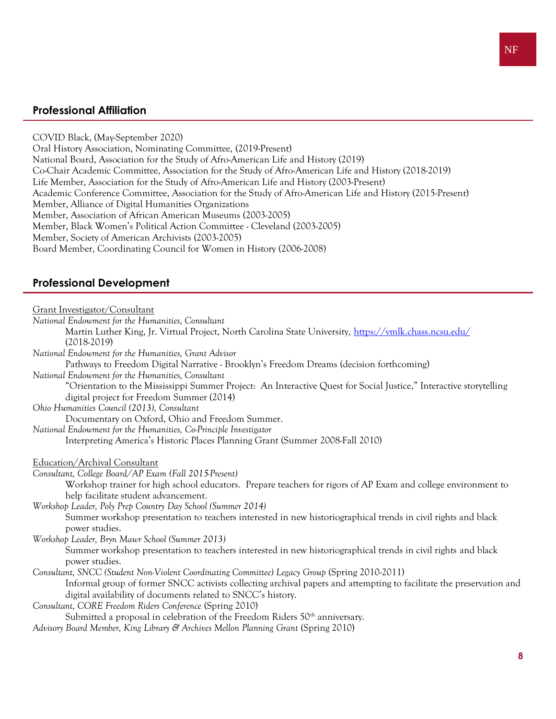## **Professional Affiliation**

COVID Black, (May-September 2020) Oral History Association, Nominating Committee, (2019-Present) National Board, Association for the Study of Afro-American Life and History (2019) Co-Chair Academic Committee, Association for the Study of Afro-American Life and History (2018-2019) Life Member, Association for the Study of Afro-American Life and History (2003-Present) Academic Conference Committee, Association for the Study of Afro-American Life and History (2015-Present) Member, Alliance of Digital Humanities Organizations Member, Association of African American Museums (2003-2005) Member, Black Women's Political Action Committee - Cleveland (2003-2005) Member, Society of American Archivists (2003-2005) Board Member, Coordinating Council for Women in History (2006-2008)

## **Professional Development**

| Grant Investigator/Consultant                                                                                                   |
|---------------------------------------------------------------------------------------------------------------------------------|
| National Endowment for the Humanities, Consultant                                                                               |
| Martin Luther King, Jr. Virtual Project, North Carolina State University, https://vmlk.chass.ncsu.edu/                          |
| $(2018-2019)$                                                                                                                   |
| National Endowment for the Humanities, Grant Advisor                                                                            |
| Pathways to Freedom Digital Narrative - Brooklyn's Freedom Dreams (decision forthcoming)                                        |
| National Endowment for the Humanities, Consultant                                                                               |
| "Orientation to the Mississippi Summer Project: An Interactive Quest for Social Justice," Interactive storytelling              |
| digital project for Freedom Summer (2014)                                                                                       |
| Ohio Humanities Council (2013), Consultant                                                                                      |
| Documentary on Oxford, Ohio and Freedom Summer.                                                                                 |
| National Endowment for the Humanities, Co-Principle Investigator                                                                |
| Interpreting America's Historic Places Planning Grant (Summer 2008-Fall 2010)                                                   |
|                                                                                                                                 |
| Education/Archival Consultant                                                                                                   |
| Consultant, College Board/AP Exam (Fall 2015-Present)                                                                           |
| Workshop trainer for high school educators. Prepare teachers for rigors of AP Exam and college environment to                   |
| help facilitate student advancement.                                                                                            |
| Workshop Leader, Poly Prep Country Day School (Summer 2014)                                                                     |
| Summer workshop presentation to teachers interested in new historiographical trends in civil rights and black                   |
| power studies.                                                                                                                  |
| Workshop Leader, Bryn Mawr School (Summer 2013)                                                                                 |
| Summer workshop presentation to teachers interested in new historiographical trends in civil rights and black<br>power studies. |
| Consultant, SNCC (Student Non-Violent Coordinating Committee) Legacy Group (Spring 2010-2011)                                   |
| Informal group of former SNCC activists collecting archival papers and attempting to facilitate the preservation and            |
| digital availability of documents related to SNCC's history.                                                                    |
| Consultant, CORE Freedom Riders Conference (Spring 2010)                                                                        |
| Submitted a proposal in celebration of the Freedom Riders 50 <sup>th</sup> anniversary.                                         |
| Advisory Board Member, King Library & Archives Mellon Planning Grant (Spring 2010)                                              |
|                                                                                                                                 |